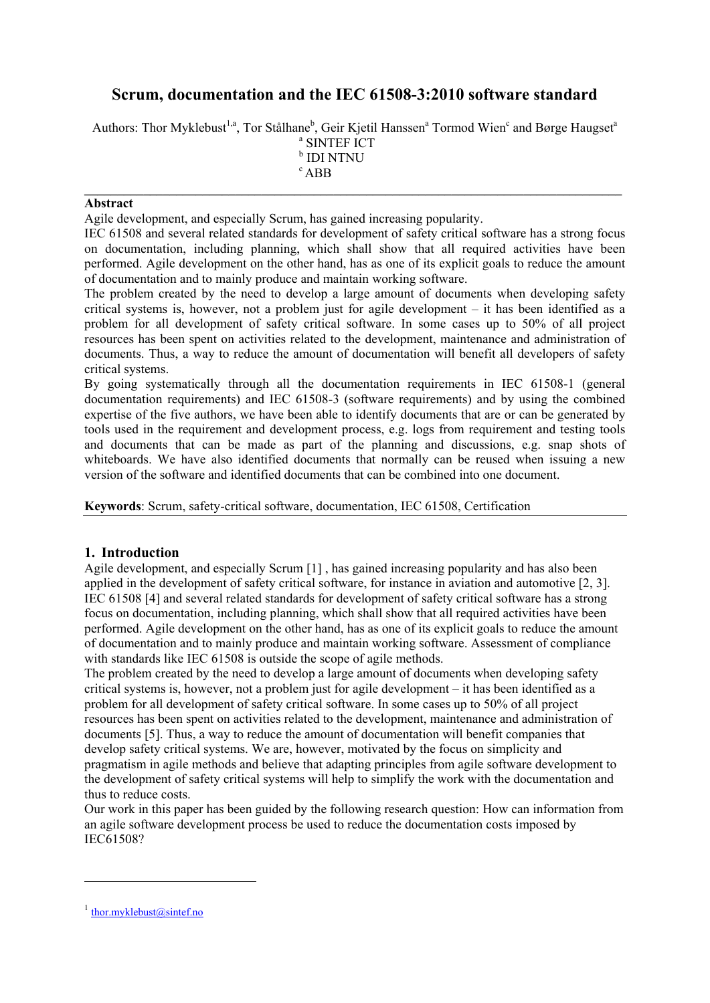# **Scrum, documentation and the IEC 61508-3:2010 software standard**

Authors: Thor Myklebust<sup>1,a</sup>, Tor Stålhane<sup>b</sup>, Geir Kjetil Hanssen<sup>a</sup> Tormod Wien<sup>c</sup> and Børge Haugset<sup>a</sup>

**\_\_\_\_\_\_\_\_\_\_\_\_\_\_\_\_\_\_\_\_\_\_\_\_\_\_\_\_\_\_\_\_\_\_\_\_\_\_\_\_\_\_\_\_\_\_\_\_\_\_\_\_\_\_\_\_\_\_\_\_\_\_\_\_\_\_\_\_\_\_\_\_\_\_\_\_\_\_\_\_\_\_** 

a SINTEF ICT b IDI NTNU  $c$  ABB

#### **Abstract**

Agile development, and especially Scrum, has gained increasing popularity.

IEC 61508 and several related standards for development of safety critical software has a strong focus on documentation, including planning, which shall show that all required activities have been performed. Agile development on the other hand, has as one of its explicit goals to reduce the amount of documentation and to mainly produce and maintain working software.

The problem created by the need to develop a large amount of documents when developing safety critical systems is, however, not a problem just for agile development – it has been identified as a problem for all development of safety critical software. In some cases up to 50% of all project resources has been spent on activities related to the development, maintenance and administration of documents. Thus, a way to reduce the amount of documentation will benefit all developers of safety critical systems.

By going systematically through all the documentation requirements in IEC 61508-1 (general documentation requirements) and IEC 61508-3 (software requirements) and by using the combined expertise of the five authors, we have been able to identify documents that are or can be generated by tools used in the requirement and development process, e.g. logs from requirement and testing tools and documents that can be made as part of the planning and discussions, e.g. snap shots of whiteboards. We have also identified documents that normally can be reused when issuing a new version of the software and identified documents that can be combined into one document.

**Keywords**: Scrum, safety-critical software, documentation, IEC 61508, Certification

### **1. Introduction**

Agile development, and especially Scrum [1] , has gained increasing popularity and has also been applied in the development of safety critical software, for instance in aviation and automotive [2, 3]. IEC 61508 [4] and several related standards for development of safety critical software has a strong focus on documentation, including planning, which shall show that all required activities have been performed. Agile development on the other hand, has as one of its explicit goals to reduce the amount of documentation and to mainly produce and maintain working software. Assessment of compliance with standards like IEC 61508 is outside the scope of agile methods.

The problem created by the need to develop a large amount of documents when developing safety critical systems is, however, not a problem just for agile development – it has been identified as a problem for all development of safety critical software. In some cases up to 50% of all project resources has been spent on activities related to the development, maintenance and administration of documents [5]. Thus, a way to reduce the amount of documentation will benefit companies that develop safety critical systems. We are, however, motivated by the focus on simplicity and pragmatism in agile methods and believe that adapting principles from agile software development to the development of safety critical systems will help to simplify the work with the documentation and thus to reduce costs.

Our work in this paper has been guided by the following research question: How can information from an agile software development process be used to reduce the documentation costs imposed by IEC61508?

1

 $<sup>1</sup>$  thor.myklebust@sintef.no</sup>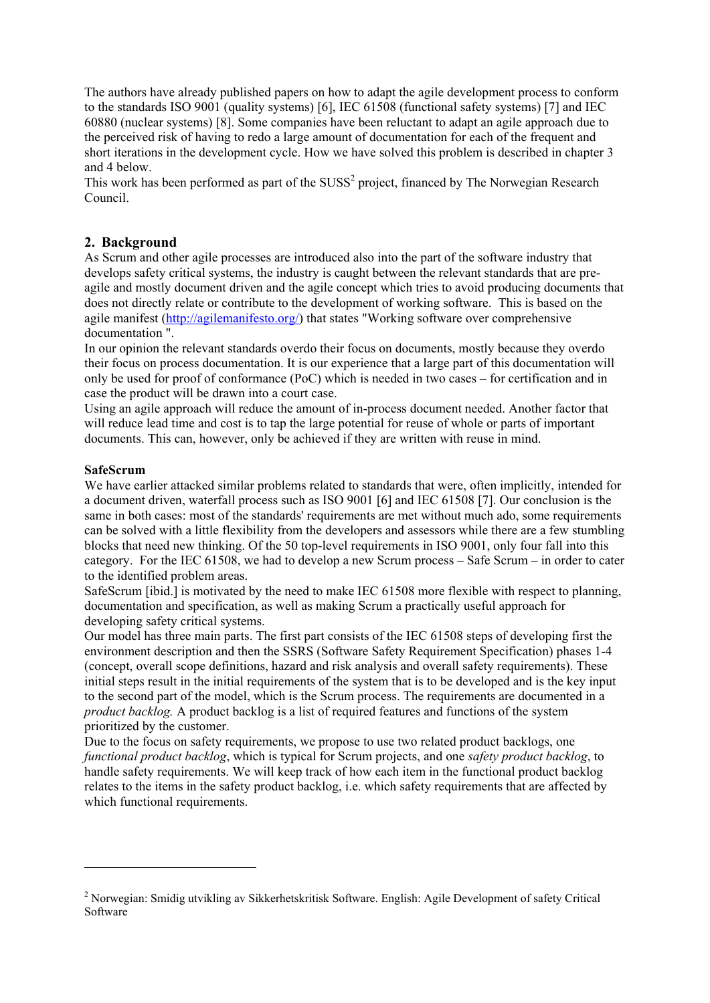The authors have already published papers on how to adapt the agile development process to conform to the standards ISO 9001 (quality systems) [6], IEC 61508 (functional safety systems) [7] and IEC 60880 (nuclear systems) [8]. Some companies have been reluctant to adapt an agile approach due to the perceived risk of having to redo a large amount of documentation for each of the frequent and short iterations in the development cycle. How we have solved this problem is described in chapter 3 and 4 below.

This work has been performed as part of the  $SUSS<sup>2</sup>$  project, financed by The Norwegian Research Council.

### **2. Background**

As Scrum and other agile processes are introduced also into the part of the software industry that develops safety critical systems, the industry is caught between the relevant standards that are preagile and mostly document driven and the agile concept which tries to avoid producing documents that does not directly relate or contribute to the development of working software. This is based on the agile manifest (http://agilemanifesto.org/) that states "Working software over comprehensive documentation ".

In our opinion the relevant standards overdo their focus on documents, mostly because they overdo their focus on process documentation. It is our experience that a large part of this documentation will only be used for proof of conformance (PoC) which is needed in two cases – for certification and in case the product will be drawn into a court case.

Using an agile approach will reduce the amount of in-process document needed. Another factor that will reduce lead time and cost is to tap the large potential for reuse of whole or parts of important documents. This can, however, only be achieved if they are written with reuse in mind.

#### **SafeScrum**

<u>.</u>

We have earlier attacked similar problems related to standards that were, often implicitly, intended for a document driven, waterfall process such as ISO 9001 [6] and IEC 61508 [7]. Our conclusion is the same in both cases: most of the standards' requirements are met without much ado, some requirements can be solved with a little flexibility from the developers and assessors while there are a few stumbling blocks that need new thinking. Of the 50 top-level requirements in ISO 9001, only four fall into this category. For the IEC 61508, we had to develop a new Scrum process – Safe Scrum – in order to cater to the identified problem areas.

SafeScrum [ibid.] is motivated by the need to make IEC 61508 more flexible with respect to planning, documentation and specification, as well as making Scrum a practically useful approach for developing safety critical systems.

Our model has three main parts. The first part consists of the IEC 61508 steps of developing first the environment description and then the SSRS (Software Safety Requirement Specification) phases 1-4 (concept, overall scope definitions, hazard and risk analysis and overall safety requirements). These initial steps result in the initial requirements of the system that is to be developed and is the key input to the second part of the model, which is the Scrum process. The requirements are documented in a *product backlog.* A product backlog is a list of required features and functions of the system prioritized by the customer.

Due to the focus on safety requirements, we propose to use two related product backlogs, one *functional product backlog*, which is typical for Scrum projects, and one *safety product backlog*, to handle safety requirements. We will keep track of how each item in the functional product backlog relates to the items in the safety product backlog, i.e. which safety requirements that are affected by which functional requirements.

<sup>&</sup>lt;sup>2</sup> Norwegian: Smidig utvikling av Sikkerhetskritisk Software. English: Agile Development of safety Critical Software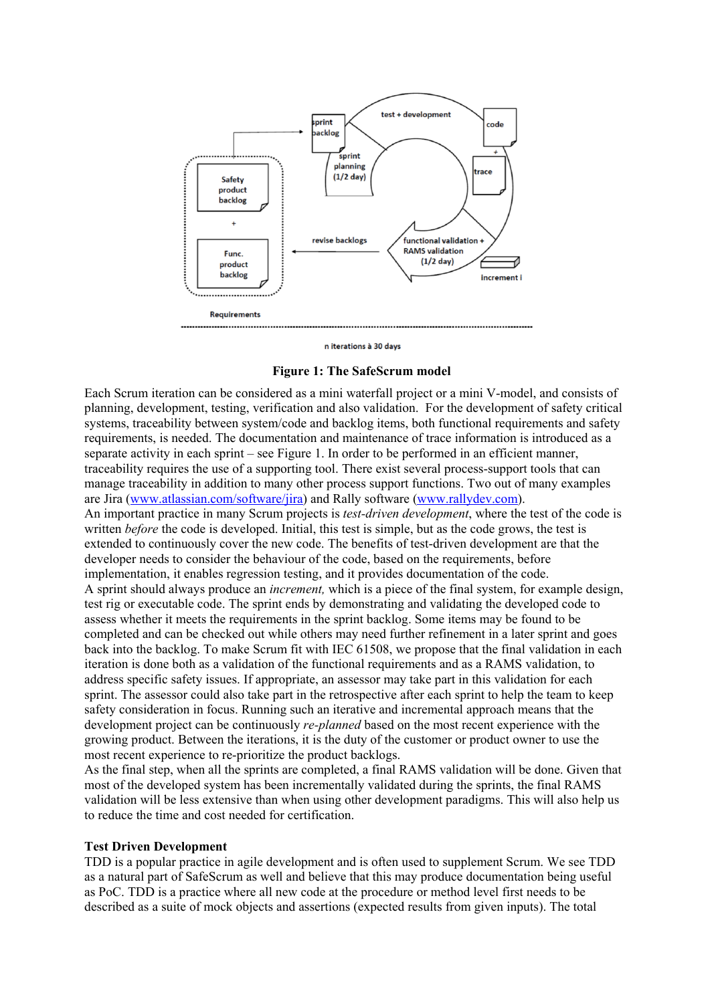

n iterations à 30 days

#### **Figure 1: The SafeScrum model**

Each Scrum iteration can be considered as a mini waterfall project or a mini V-model, and consists of planning, development, testing, verification and also validation. For the development of safety critical systems, traceability between system/code and backlog items, both functional requirements and safety requirements, is needed. The documentation and maintenance of trace information is introduced as a separate activity in each sprint – see Figure 1. In order to be performed in an efficient manner, traceability requires the use of a supporting tool. There exist several process-support tools that can manage traceability in addition to many other process support functions. Two out of many examples are Jira (www.atlassian.com/software/jira) and Rally software (www.rallydev.com). An important practice in many Scrum projects is *test-driven development*, where the test of the code is written *before* the code is developed. Initial, this test is simple, but as the code grows, the test is extended to continuously cover the new code. The benefits of test-driven development are that the developer needs to consider the behaviour of the code, based on the requirements, before implementation, it enables regression testing, and it provides documentation of the code. A sprint should always produce an *increment,* which is a piece of the final system, for example design, test rig or executable code. The sprint ends by demonstrating and validating the developed code to assess whether it meets the requirements in the sprint backlog. Some items may be found to be completed and can be checked out while others may need further refinement in a later sprint and goes back into the backlog. To make Scrum fit with IEC 61508, we propose that the final validation in each iteration is done both as a validation of the functional requirements and as a RAMS validation, to address specific safety issues. If appropriate, an assessor may take part in this validation for each sprint. The assessor could also take part in the retrospective after each sprint to help the team to keep safety consideration in focus. Running such an iterative and incremental approach means that the development project can be continuously *re-planned* based on the most recent experience with the growing product. Between the iterations, it is the duty of the customer or product owner to use the most recent experience to re-prioritize the product backlogs.

As the final step, when all the sprints are completed, a final RAMS validation will be done. Given that most of the developed system has been incrementally validated during the sprints, the final RAMS validation will be less extensive than when using other development paradigms. This will also help us to reduce the time and cost needed for certification.

#### **Test Driven Development**

TDD is a popular practice in agile development and is often used to supplement Scrum. We see TDD as a natural part of SafeScrum as well and believe that this may produce documentation being useful as PoC. TDD is a practice where all new code at the procedure or method level first needs to be described as a suite of mock objects and assertions (expected results from given inputs). The total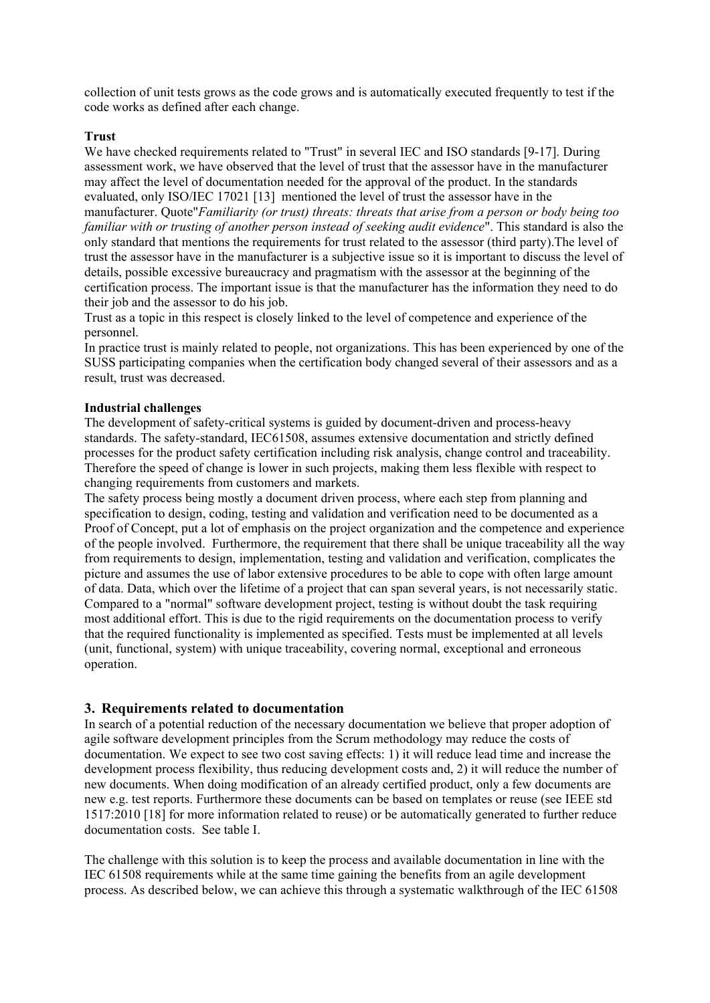collection of unit tests grows as the code grows and is automatically executed frequently to test if the code works as defined after each change.

#### **Trust**

We have checked requirements related to "Trust" in several IEC and ISO standards [9-17]. During assessment work, we have observed that the level of trust that the assessor have in the manufacturer may affect the level of documentation needed for the approval of the product. In the standards evaluated, only ISO/IEC 17021 [13] mentioned the level of trust the assessor have in the manufacturer. Quote"*Familiarity (or trust) threats: threats that arise from a person or body being too familiar with or trusting of another person instead of seeking audit evidence*". This standard is also the only standard that mentions the requirements for trust related to the assessor (third party).The level of trust the assessor have in the manufacturer is a subjective issue so it is important to discuss the level of details, possible excessive bureaucracy and pragmatism with the assessor at the beginning of the certification process. The important issue is that the manufacturer has the information they need to do their job and the assessor to do his job.

Trust as a topic in this respect is closely linked to the level of competence and experience of the personnel.

In practice trust is mainly related to people, not organizations. This has been experienced by one of the SUSS participating companies when the certification body changed several of their assessors and as a result, trust was decreased.

#### **Industrial challenges**

The development of safety-critical systems is guided by document-driven and process-heavy standards. The safety-standard, IEC61508, assumes extensive documentation and strictly defined processes for the product safety certification including risk analysis, change control and traceability. Therefore the speed of change is lower in such projects, making them less flexible with respect to changing requirements from customers and markets.

The safety process being mostly a document driven process, where each step from planning and specification to design, coding, testing and validation and verification need to be documented as a Proof of Concept, put a lot of emphasis on the project organization and the competence and experience of the people involved. Furthermore, the requirement that there shall be unique traceability all the way from requirements to design, implementation, testing and validation and verification, complicates the picture and assumes the use of labor extensive procedures to be able to cope with often large amount of data. Data, which over the lifetime of a project that can span several years, is not necessarily static. Compared to a "normal" software development project, testing is without doubt the task requiring most additional effort. This is due to the rigid requirements on the documentation process to verify that the required functionality is implemented as specified. Tests must be implemented at all levels (unit, functional, system) with unique traceability, covering normal, exceptional and erroneous operation.

#### **3. Requirements related to documentation**

In search of a potential reduction of the necessary documentation we believe that proper adoption of agile software development principles from the Scrum methodology may reduce the costs of documentation. We expect to see two cost saving effects: 1) it will reduce lead time and increase the development process flexibility, thus reducing development costs and, 2) it will reduce the number of new documents. When doing modification of an already certified product, only a few documents are new e.g. test reports. Furthermore these documents can be based on templates or reuse (see IEEE std 1517:2010 [18] for more information related to reuse) or be automatically generated to further reduce documentation costs. See table I.

The challenge with this solution is to keep the process and available documentation in line with the IEC 61508 requirements while at the same time gaining the benefits from an agile development process. As described below, we can achieve this through a systematic walkthrough of the IEC 61508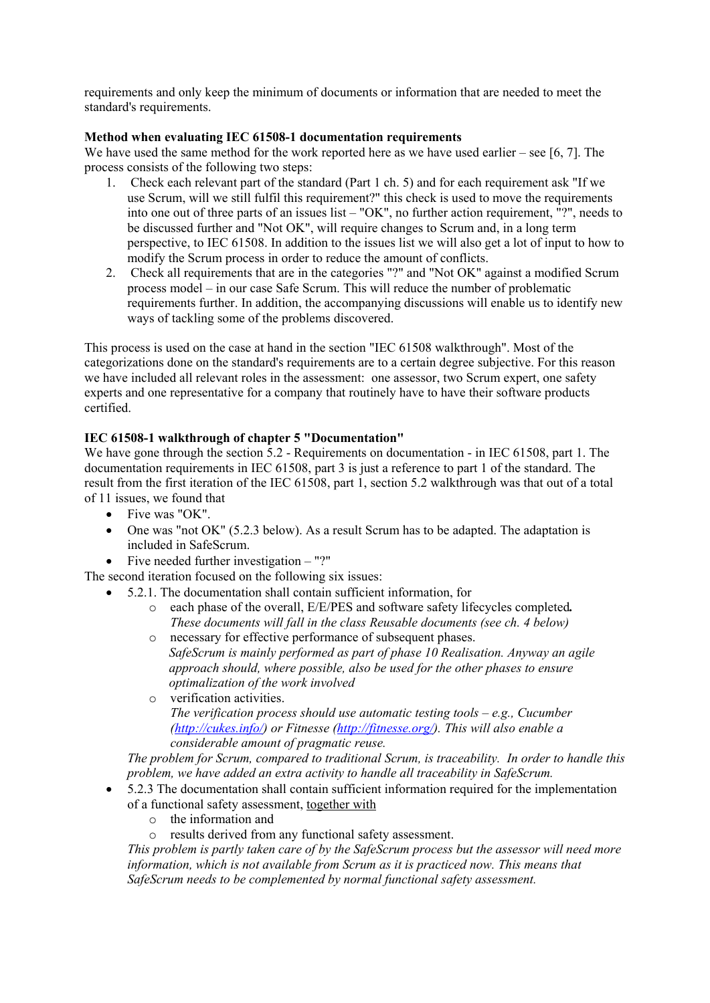requirements and only keep the minimum of documents or information that are needed to meet the standard's requirements.

#### **Method when evaluating IEC 61508-1 documentation requirements**

We have used the same method for the work reported here as we have used earlier – see [6, 7]. The process consists of the following two steps:

- 1. Check each relevant part of the standard (Part 1 ch. 5) and for each requirement ask "If we use Scrum, will we still fulfil this requirement?" this check is used to move the requirements into one out of three parts of an issues list – "OK", no further action requirement, "?", needs to be discussed further and "Not OK", will require changes to Scrum and, in a long term perspective, to IEC 61508. In addition to the issues list we will also get a lot of input to how to modify the Scrum process in order to reduce the amount of conflicts.
- 2. Check all requirements that are in the categories "?" and "Not OK" against a modified Scrum process model – in our case Safe Scrum. This will reduce the number of problematic requirements further. In addition, the accompanying discussions will enable us to identify new ways of tackling some of the problems discovered.

This process is used on the case at hand in the section "IEC 61508 walkthrough". Most of the categorizations done on the standard's requirements are to a certain degree subjective. For this reason we have included all relevant roles in the assessment: one assessor, two Scrum expert, one safety experts and one representative for a company that routinely have to have their software products certified.

### **IEC 61508-1 walkthrough of chapter 5 "Documentation"**

We have gone through the section 5.2 - Requirements on documentation - in IEC 61508, part 1. The documentation requirements in IEC 61508, part 3 is just a reference to part 1 of the standard. The result from the first iteration of the IEC 61508, part 1, section 5.2 walkthrough was that out of a total of 11 issues, we found that

- Five was "OK".
- One was "not OK" (5.2.3 below). As a result Scrum has to be adapted. The adaptation is included in SafeScrum.
- Five needed further investigation "?"

The second iteration focused on the following six issues:

- 5.2.1. The documentation shall contain sufficient information, for
	- o each phase of the overall, E/E/PES and software safety lifecycles completed*. These documents will fall in the class Reusable documents (see ch. 4 below)*
	- o necessary for effective performance of subsequent phases. *SafeScrum is mainly performed as part of phase 10 Realisation. Anyway an agile approach should, where possible, also be used for the other phases to ensure optimalization of the work involved*
	- o verification activities. *The verification process should use automatic testing tools – e.g., Cucumber (http://cukes.info/) or Fitnesse (http://fitnesse.org/). This will also enable a considerable amount of pragmatic reuse.*

*The problem for Scrum, compared to traditional Scrum, is traceability. In order to handle this problem, we have added an extra activity to handle all traceability in SafeScrum.*

- 5.2.3 The documentation shall contain sufficient information required for the implementation of a functional safety assessment, together with
	- o the information and
	- o results derived from any functional safety assessment.

*This problem is partly taken care of by the SafeScrum process but the assessor will need more information, which is not available from Scrum as it is practiced now. This means that SafeScrum needs to be complemented by normal functional safety assessment.*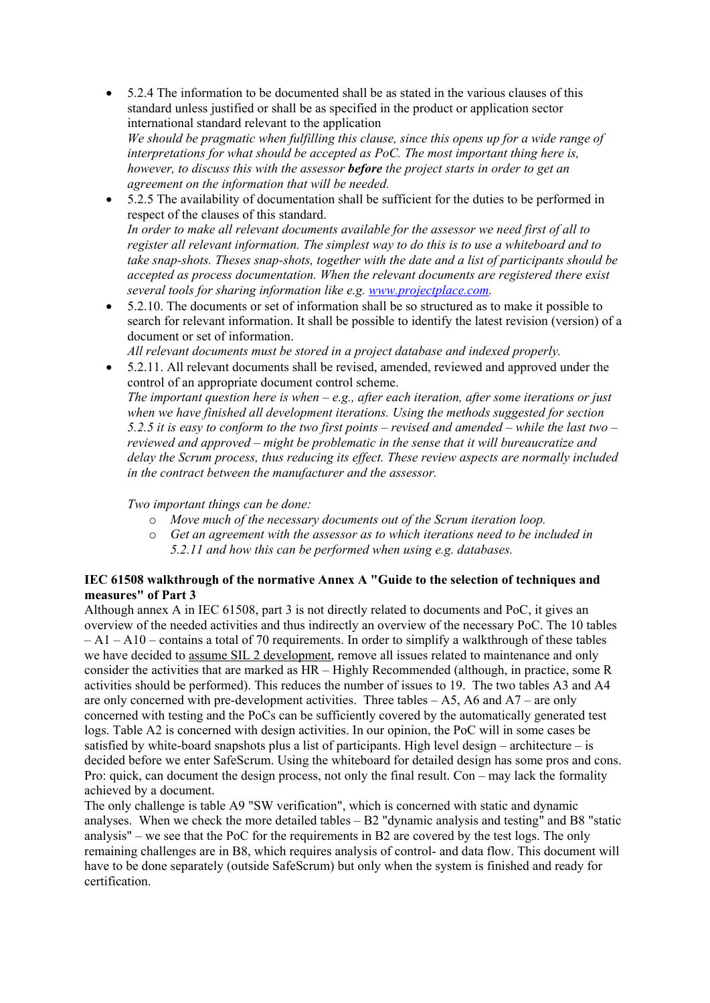- 5.2.4 The information to be documented shall be as stated in the various clauses of this standard unless justified or shall be as specified in the product or application sector international standard relevant to the application *We should be pragmatic when fulfilling this clause, since this opens up for a wide range of interpretations for what should be accepted as PoC. The most important thing here is, however, to discuss this with the assessor before the project starts in order to get an agreement on the information that will be needed.*
- 5.2.5 The availability of documentation shall be sufficient for the duties to be performed in respect of the clauses of this standard. *In order to make all relevant documents available for the assessor we need first of all to register all relevant information. The simplest way to do this is to use a whiteboard and to take snap-shots. Theses snap-shots, together with the date and a list of participants should be accepted as process documentation. When the relevant documents are registered there exist several tools for sharing information like e.g. www.projectplace.com.*
- 5.2.10. The documents or set of information shall be so structured as to make it possible to search for relevant information. It shall be possible to identify the latest revision (version) of a document or set of information.

*All relevant documents must be stored in a project database and indexed properly.* 

 5.2.11. All relevant documents shall be revised, amended, reviewed and approved under the control of an appropriate document control scheme. *The important question here is when – e.g., after each iteration, after some iterations or just when we have finished all development iterations. Using the methods suggested for section 5.2.5 it is easy to conform to the two first points – revised and amended – while the last two – reviewed and approved – might be problematic in the sense that it will bureaucratize and delay the Scrum process, thus reducing its effect. These review aspects are normally included* 

#### *Two important things can be done:*

*in the contract between the manufacturer and the assessor.* 

- o *Move much of the necessary documents out of the Scrum iteration loop.*
- o *Get an agreement with the assessor as to which iterations need to be included in 5.2.11 and how this can be performed when using e.g. databases.*

#### **IEC 61508 walkthrough of the normative Annex A "Guide to the selection of techniques and measures" of Part 3**

Although annex A in IEC 61508, part 3 is not directly related to documents and PoC, it gives an overview of the needed activities and thus indirectly an overview of the necessary PoC. The 10 tables – A1 – A10 – contains a total of 70 requirements. In order to simplify a walkthrough of these tables we have decided to assume SIL 2 development, remove all issues related to maintenance and only consider the activities that are marked as HR – Highly Recommended (although, in practice, some R activities should be performed). This reduces the number of issues to 19. The two tables A3 and A4 are only concerned with pre-development activities. Three tables – A5, A6 and A7 – are only concerned with testing and the PoCs can be sufficiently covered by the automatically generated test logs. Table A2 is concerned with design activities. In our opinion, the PoC will in some cases be satisfied by white-board snapshots plus a list of participants. High level design – architecture – is decided before we enter SafeScrum. Using the whiteboard for detailed design has some pros and cons. Pro: quick, can document the design process, not only the final result. Con – may lack the formality achieved by a document.

The only challenge is table A9 "SW verification", which is concerned with static and dynamic analyses. When we check the more detailed tables – B2 "dynamic analysis and testing" and B8 "static analysis" – we see that the PoC for the requirements in B2 are covered by the test logs. The only remaining challenges are in B8, which requires analysis of control- and data flow. This document will have to be done separately (outside SafeScrum) but only when the system is finished and ready for certification.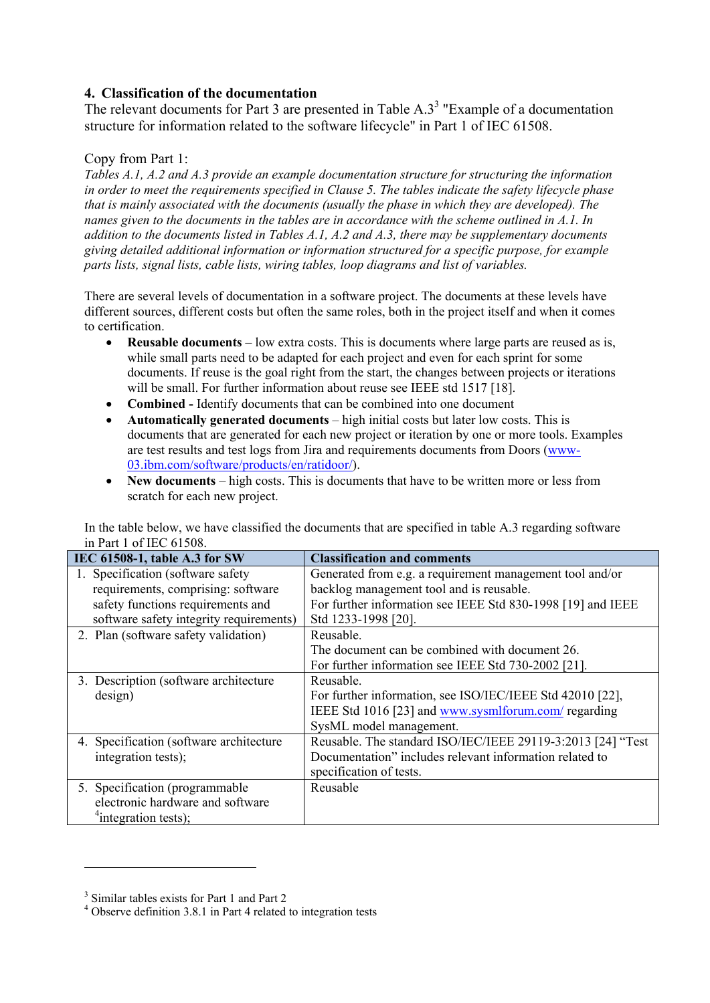## **4. Classification of the documentation**

The relevant documents for Part 3 are presented in Table  $A.3<sup>3</sup>$  "Example of a documentation structure for information related to the software lifecycle" in Part 1 of IEC 61508.

### Copy from Part 1:

*Tables A.1, A.2 and A.3 provide an example documentation structure for structuring the information in order to meet the requirements specified in Clause 5. The tables indicate the safety lifecycle phase that is mainly associated with the documents (usually the phase in which they are developed). The names given to the documents in the tables are in accordance with the scheme outlined in A.1. In addition to the documents listed in Tables A.1, A.2 and A.3, there may be supplementary documents giving detailed additional information or information structured for a specific purpose, for example parts lists, signal lists, cable lists, wiring tables, loop diagrams and list of variables.* 

There are several levels of documentation in a software project. The documents at these levels have different sources, different costs but often the same roles, both in the project itself and when it comes to certification.

- **Reusable documents** low extra costs. This is documents where large parts are reused as is, while small parts need to be adapted for each project and even for each sprint for some documents. If reuse is the goal right from the start, the changes between projects or iterations will be small. For further information about reuse see IEEE std 1517 [18].
- **Combined** Identify documents that can be combined into one document
- **Automatically generated documents** high initial costs but later low costs. This is documents that are generated for each new project or iteration by one or more tools. Examples are test results and test logs from Jira and requirements documents from Doors (www-03.ibm.com/software/products/en/ratidoor/).
- **New documents** high costs. This is documents that have to be written more or less from scratch for each new project.

In the table below, we have classified the documents that are specified in table A.3 regarding software in Part 1 of IEC 61508.

| IEC 61508-1, table A.3 for SW           | <b>Classification and comments</b>                          |
|-----------------------------------------|-------------------------------------------------------------|
| 1. Specification (software safety)      | Generated from e.g. a requirement management tool and/or    |
| requirements, comprising: software      | backlog management tool and is reusable.                    |
| safety functions requirements and       | For further information see IEEE Std 830-1998 [19] and IEEE |
| software safety integrity requirements) | Std 1233-1998 [20].                                         |
| 2. Plan (software safety validation)    | Reusable.                                                   |
|                                         | The document can be combined with document 26.              |
|                                         | For further information see IEEE Std 730-2002 [21].         |
| 3. Description (software architecture)  | Reusable.                                                   |
| design)                                 | For further information, see ISO/IEC/IEEE Std 42010 [22],   |
|                                         | IEEE Std 1016 [23] and www.sysmlforum.com/regarding         |
|                                         | SysML model management.                                     |
| 4. Specification (software architecture | Reusable. The standard ISO/IEC/IEEE 29119-3:2013 [24] "Test |
| integration tests);                     | Documentation" includes relevant information related to     |
|                                         | specification of tests.                                     |
| 5. Specification (programmable)         | Reusable                                                    |
| electronic hardware and software        |                                                             |
| $\text{``integration tests)}$           |                                                             |

<u>.</u>

<sup>&</sup>lt;sup>3</sup> Similar tables exists for Part 1 and Part 2

<sup>&</sup>lt;sup>4</sup> Observe definition 3.8.1 in Part 4 related to integration tests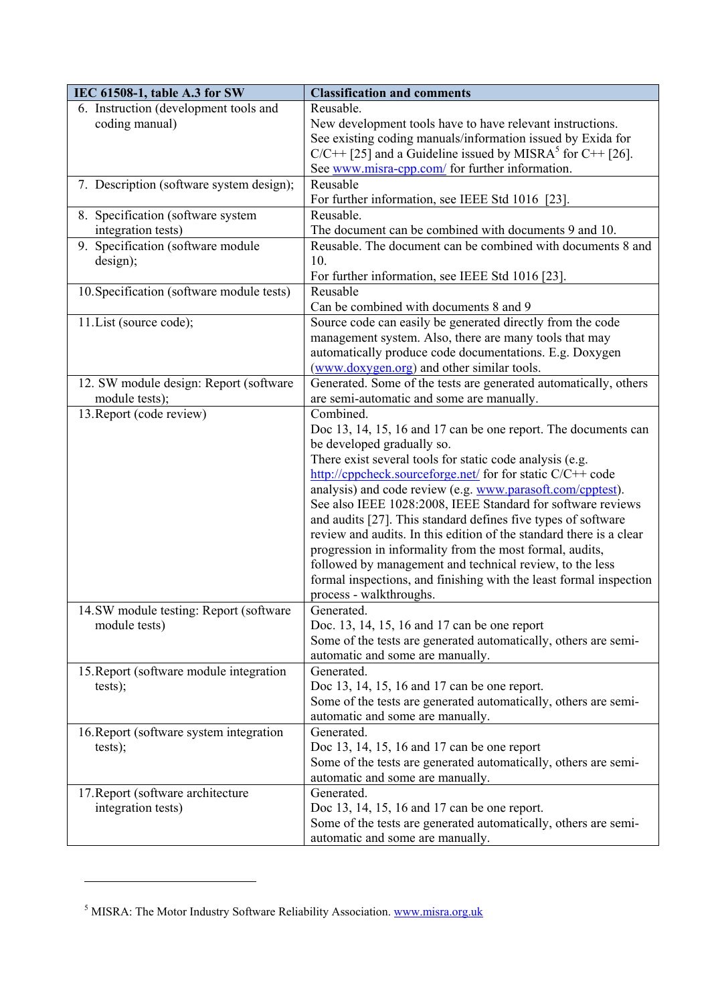| IEC 61508-1, table A.3 for SW                           | <b>Classification and comments</b>                                                                                        |  |
|---------------------------------------------------------|---------------------------------------------------------------------------------------------------------------------------|--|
| 6. Instruction (development tools and                   | Reusable.                                                                                                                 |  |
| coding manual)                                          | New development tools have to have relevant instructions.                                                                 |  |
|                                                         | See existing coding manuals/information issued by Exida for                                                               |  |
|                                                         | $C/C++$ [25] and a Guideline issued by MISRA <sup>5</sup> for C++ [26].                                                   |  |
|                                                         | See www.misra-cpp.com/ for further information.                                                                           |  |
| 7. Description (software system design);                | Reusable                                                                                                                  |  |
|                                                         | For further information, see IEEE Std 1016 [23].                                                                          |  |
| 8. Specification (software system<br>integration tests) | Reusable.<br>The document can be combined with documents 9 and 10.                                                        |  |
| 9. Specification (software module                       | Reusable. The document can be combined with documents 8 and                                                               |  |
| design);                                                | 10.                                                                                                                       |  |
|                                                         | For further information, see IEEE Std 1016 [23].                                                                          |  |
| 10. Specification (software module tests)               | Reusable                                                                                                                  |  |
|                                                         | Can be combined with documents 8 and 9                                                                                    |  |
| 11. List (source code);                                 | Source code can easily be generated directly from the code                                                                |  |
|                                                         | management system. Also, there are many tools that may                                                                    |  |
|                                                         | automatically produce code documentations. E.g. Doxygen                                                                   |  |
|                                                         | (www.doxygen.org) and other similar tools.                                                                                |  |
| 12. SW module design: Report (software                  | Generated. Some of the tests are generated automatically, others                                                          |  |
| module tests);                                          | are semi-automatic and some are manually.                                                                                 |  |
| 13. Report (code review)                                | Combined.                                                                                                                 |  |
|                                                         | Doc 13, 14, 15, 16 and 17 can be one report. The documents can                                                            |  |
|                                                         | be developed gradually so.                                                                                                |  |
|                                                         | There exist several tools for static code analysis (e.g.                                                                  |  |
|                                                         | http://cppcheck.sourceforge.net/ for for static C/C++ code                                                                |  |
|                                                         | analysis) and code review (e.g. www.parasoft.com/cpptest).<br>See also IEEE 1028:2008, IEEE Standard for software reviews |  |
|                                                         | and audits [27]. This standard defines five types of software                                                             |  |
|                                                         | review and audits. In this edition of the standard there is a clear                                                       |  |
|                                                         | progression in informality from the most formal, audits,                                                                  |  |
|                                                         | followed by management and technical review, to the less                                                                  |  |
|                                                         | formal inspections, and finishing with the least formal inspection                                                        |  |
|                                                         | process - walkthroughs.                                                                                                   |  |
| 14.SW module testing: Report (software                  | Generated.                                                                                                                |  |
| module tests)                                           | Doc. 13, 14, 15, 16 and 17 can be one report                                                                              |  |
|                                                         | Some of the tests are generated automatically, others are semi-                                                           |  |
|                                                         | automatic and some are manually.                                                                                          |  |
| 15. Report (software module integration                 | Generated.                                                                                                                |  |
| tests);                                                 | Doc 13, 14, 15, 16 and 17 can be one report.                                                                              |  |
|                                                         | Some of the tests are generated automatically, others are semi-                                                           |  |
|                                                         | automatic and some are manually.                                                                                          |  |
| 16. Report (software system integration                 | Generated.                                                                                                                |  |
| tests);                                                 | Doc 13, 14, 15, 16 and 17 can be one report                                                                               |  |
|                                                         | Some of the tests are generated automatically, others are semi-                                                           |  |
|                                                         | automatic and some are manually.                                                                                          |  |
| 17. Report (software architecture                       | Generated.                                                                                                                |  |
| integration tests)                                      | Doc 13, 14, 15, 16 and 17 can be one report.                                                                              |  |
|                                                         | Some of the tests are generated automatically, others are semi-                                                           |  |
|                                                         | automatic and some are manually.                                                                                          |  |

1

<sup>&</sup>lt;sup>5</sup> MISRA: The Motor Industry Software Reliability Association. www.misra.org.uk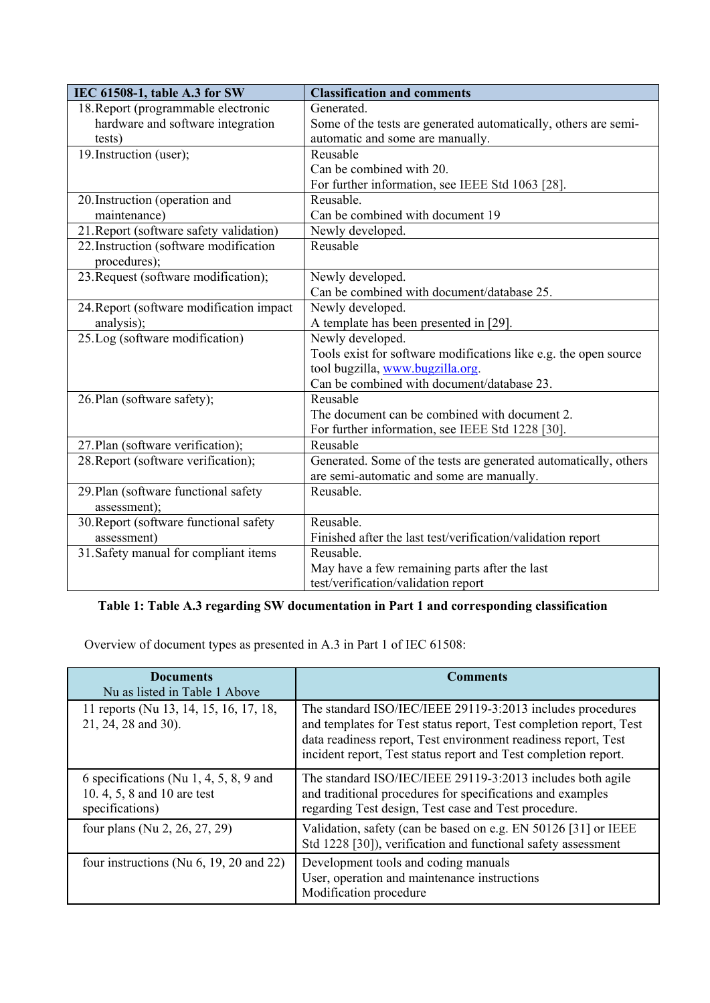| IEC 61508-1, table A.3 for SW                        | <b>Classification and comments</b>                               |  |
|------------------------------------------------------|------------------------------------------------------------------|--|
| 18. Report (programmable electronic                  | Generated.                                                       |  |
| hardware and software integration                    | Some of the tests are generated automatically, others are semi-  |  |
| tests)                                               | automatic and some are manually.                                 |  |
| 19. Instruction (user);                              | Reusable                                                         |  |
|                                                      | Can be combined with 20.                                         |  |
|                                                      | For further information, see IEEE Std 1063 [28].                 |  |
| 20. Instruction (operation and                       | Reusable.                                                        |  |
| maintenance)                                         | Can be combined with document 19                                 |  |
| 21. Report (software safety validation)              | Newly developed.                                                 |  |
| 22. Instruction (software modification               | Reusable                                                         |  |
| procedures);                                         |                                                                  |  |
| 23. Request (software modification);                 | Newly developed.                                                 |  |
|                                                      | Can be combined with document/database 25.                       |  |
| 24. Report (software modification impact)            | Newly developed.                                                 |  |
| analysis);                                           | A template has been presented in [29].                           |  |
| 25.Log (software modification)                       | Newly developed.                                                 |  |
|                                                      | Tools exist for software modifications like e.g. the open source |  |
|                                                      | tool bugzilla, www.bugzilla.org.                                 |  |
|                                                      | Can be combined with document/database 23.                       |  |
| 26. Plan (software safety);                          | Reusable                                                         |  |
|                                                      | The document can be combined with document 2.                    |  |
|                                                      | For further information, see IEEE Std 1228 [30].                 |  |
| 27. Plan (software verification);                    | Reusable                                                         |  |
| 28. Report (software verification);                  | Generated. Some of the tests are generated automatically, others |  |
|                                                      | are semi-automatic and some are manually.                        |  |
| 29. Plan (software functional safety<br>assessment); | Reusable.                                                        |  |
| 30. Report (software functional safety               | Reusable.                                                        |  |
| assessment)                                          | Finished after the last test/verification/validation report      |  |
| 31. Safety manual for compliant items                | Reusable.                                                        |  |
|                                                      | May have a few remaining parts after the last                    |  |
|                                                      | test/verification/validation report                              |  |

# **Table 1: Table A.3 regarding SW documentation in Part 1 and corresponding classification**

Overview of document types as presented in A.3 in Part 1 of IEC 61508:

| <b>Documents</b><br>Nu as listed in Table 1 Above                                       | <b>Comments</b>                                                                                                                                                                                                                                                       |
|-----------------------------------------------------------------------------------------|-----------------------------------------------------------------------------------------------------------------------------------------------------------------------------------------------------------------------------------------------------------------------|
| 11 reports (Nu 13, 14, 15, 16, 17, 18,<br>21, 24, 28 and 30).                           | The standard ISO/IEC/IEEE 29119-3:2013 includes procedures<br>and templates for Test status report, Test completion report, Test<br>data readiness report, Test environment readiness report, Test<br>incident report, Test status report and Test completion report. |
| 6 specifications (Nu 1, 4, 5, 8, 9 and<br>10.4, 5, 8 and 10 are test<br>specifications) | The standard ISO/IEC/IEEE 29119-3:2013 includes both agile<br>and traditional procedures for specifications and examples<br>regarding Test design, Test case and Test procedure.                                                                                      |
| four plans (Nu 2, 26, 27, 29)                                                           | Validation, safety (can be based on e.g. EN 50126 [31] or IEEE<br>Std 1228 [30]), verification and functional safety assessment                                                                                                                                       |
| four instructions (Nu $6$ , 19, 20 and 22)                                              | Development tools and coding manuals<br>User, operation and maintenance instructions<br>Modification procedure                                                                                                                                                        |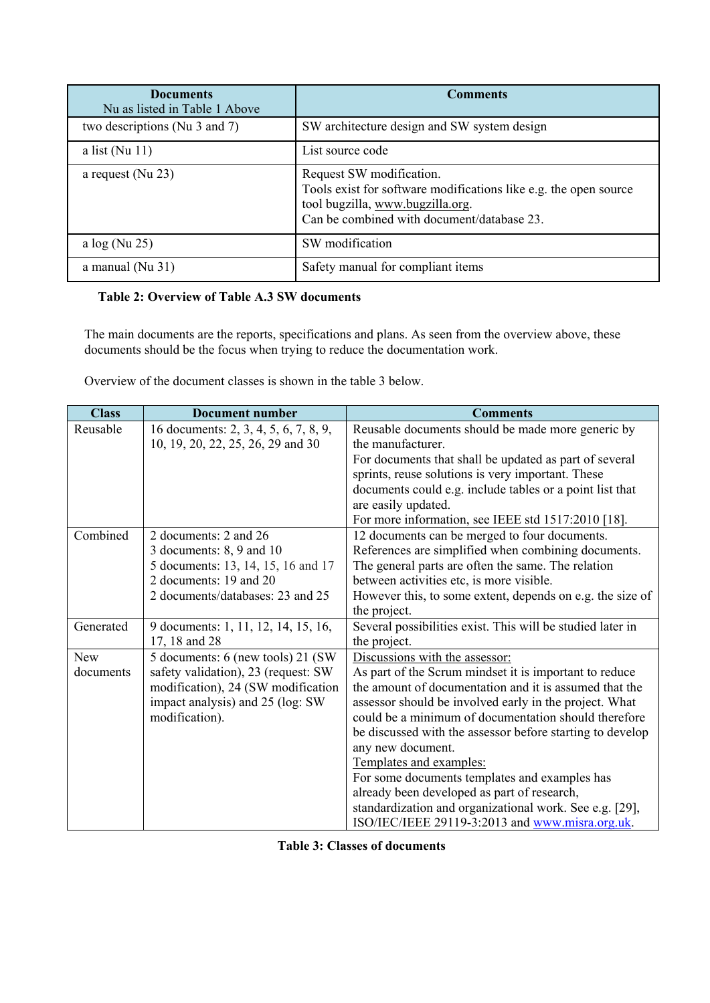| <b>Documents</b><br>Nu as listed in Table 1 Above | <b>Comments</b>                                                                                                                                                                |
|---------------------------------------------------|--------------------------------------------------------------------------------------------------------------------------------------------------------------------------------|
| two descriptions (Nu 3 and 7)                     | SW architecture design and SW system design                                                                                                                                    |
| a list ( $Nu$ 11)                                 | List source code                                                                                                                                                               |
| a request ( $Nu$ 23)                              | Request SW modification.<br>Tools exist for software modifications like e.g. the open source<br>tool bugzilla, www.bugzilla.org.<br>Can be combined with document/database 23. |
| a $log(Nu 25)$                                    | SW modification                                                                                                                                                                |
| a manual ( $Nu$ 31)                               | Safety manual for compliant items                                                                                                                                              |

## **Table 2: Overview of Table A.3 SW documents**

The main documents are the reports, specifications and plans. As seen from the overview above, these documents should be the focus when trying to reduce the documentation work.

Overview of the document classes is shown in the table 3 below.

| <b>Class</b> | <b>Document number</b>                | <b>Comments</b>                                            |
|--------------|---------------------------------------|------------------------------------------------------------|
| Reusable     | 16 documents: 2, 3, 4, 5, 6, 7, 8, 9, | Reusable documents should be made more generic by          |
|              | 10, 19, 20, 22, 25, 26, 29 and 30     | the manufacturer.                                          |
|              |                                       | For documents that shall be updated as part of several     |
|              |                                       | sprints, reuse solutions is very important. These          |
|              |                                       | documents could e.g. include tables or a point list that   |
|              |                                       | are easily updated.                                        |
|              |                                       | For more information, see IEEE std 1517:2010 [18].         |
| Combined     | 2 documents: 2 and 26                 | 12 documents can be merged to four documents.              |
|              | 3 documents: $8, 9$ and $10$          | References are simplified when combining documents.        |
|              | 5 documents: 13, 14, 15, 16 and 17    | The general parts are often the same. The relation         |
|              | 2 documents: 19 and 20                | between activities etc, is more visible.                   |
|              | 2 documents/databases: 23 and 25      | However this, to some extent, depends on e.g. the size of  |
|              |                                       | the project.                                               |
| Generated    | 9 documents: 1, 11, 12, 14, 15, 16,   | Several possibilities exist. This will be studied later in |
|              | $17, 18$ and 28                       | the project.                                               |
| New          | 5 documents: 6 (new tools) 21 (SW)    | Discussions with the assessor:                             |
| documents    | safety validation), 23 (request: SW   | As part of the Scrum mindset it is important to reduce     |
|              | modification), 24 (SW modification    | the amount of documentation and it is assumed that the     |
|              | impact analysis) and 25 (log: SW      | assessor should be involved early in the project. What     |
|              | modification).                        | could be a minimum of documentation should therefore       |
|              |                                       | be discussed with the assessor before starting to develop  |
|              |                                       | any new document.                                          |
|              |                                       | Templates and examples:                                    |
|              |                                       | For some documents templates and examples has              |
|              |                                       | already been developed as part of research,                |
|              |                                       | standardization and organizational work. See e.g. [29],    |
|              |                                       | ISO/IEC/IEEE 29119-3:2013 and www.misra.org.uk.            |

**Table 3: Classes of documents**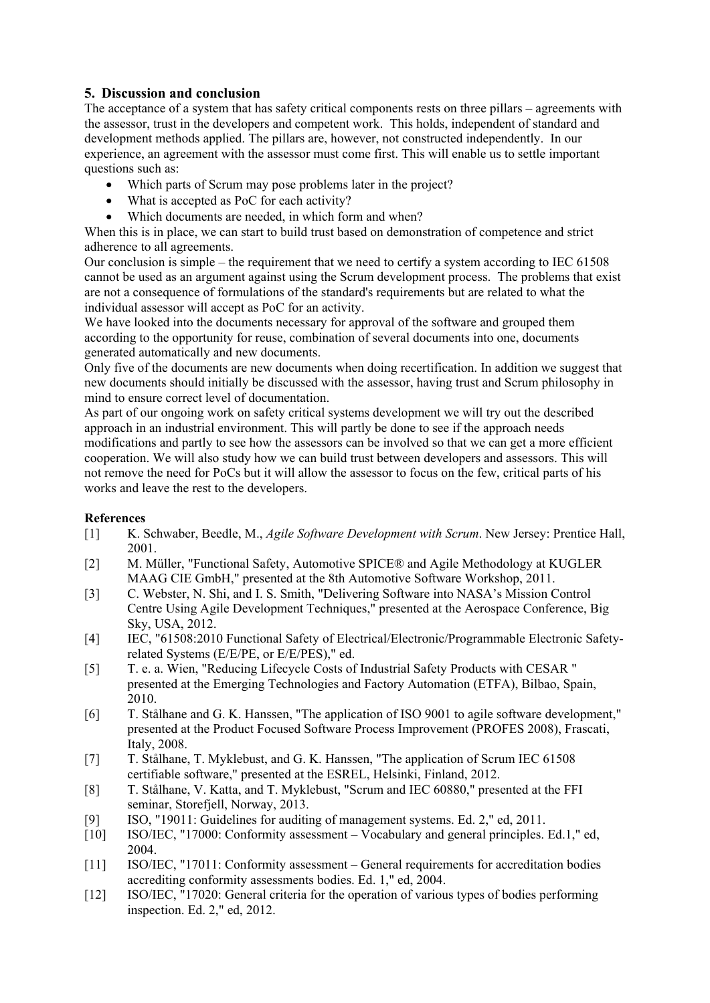## **5. Discussion and conclusion**

The acceptance of a system that has safety critical components rests on three pillars – agreements with the assessor, trust in the developers and competent work. This holds, independent of standard and development methods applied. The pillars are, however, not constructed independently. In our experience, an agreement with the assessor must come first. This will enable us to settle important questions such as:

- Which parts of Scrum may pose problems later in the project?
- What is accepted as PoC for each activity?
- Which documents are needed, in which form and when?

When this is in place, we can start to build trust based on demonstration of competence and strict adherence to all agreements.

Our conclusion is simple – the requirement that we need to certify a system according to IEC 61508 cannot be used as an argument against using the Scrum development process. The problems that exist are not a consequence of formulations of the standard's requirements but are related to what the individual assessor will accept as PoC for an activity.

We have looked into the documents necessary for approval of the software and grouped them according to the opportunity for reuse, combination of several documents into one, documents generated automatically and new documents.

Only five of the documents are new documents when doing recertification. In addition we suggest that new documents should initially be discussed with the assessor, having trust and Scrum philosophy in mind to ensure correct level of documentation.

As part of our ongoing work on safety critical systems development we will try out the described approach in an industrial environment. This will partly be done to see if the approach needs modifications and partly to see how the assessors can be involved so that we can get a more efficient cooperation. We will also study how we can build trust between developers and assessors. This will not remove the need for PoCs but it will allow the assessor to focus on the few, critical parts of his works and leave the rest to the developers.

### **References**

- [1] K. Schwaber, Beedle, M., *Agile Software Development with Scrum*. New Jersey: Prentice Hall, 2001.
- [2] M. Müller, "Functional Safety, Automotive SPICE® and Agile Methodology at KUGLER MAAG CIE GmbH," presented at the 8th Automotive Software Workshop, 2011.
- [3] C. Webster, N. Shi, and I. S. Smith, "Delivering Software into NASA's Mission Control Centre Using Agile Development Techniques," presented at the Aerospace Conference, Big Sky, USA, 2012.
- [4] IEC, "61508:2010 Functional Safety of Electrical/Electronic/Programmable Electronic Safetyrelated Systems (E/E/PE, or E/E/PES)," ed.
- [5] T. e. a. Wien, "Reducing Lifecycle Costs of Industrial Safety Products with CESAR " presented at the Emerging Technologies and Factory Automation (ETFA), Bilbao, Spain, 2010.
- [6] T. Stålhane and G. K. Hanssen, "The application of ISO 9001 to agile software development," presented at the Product Focused Software Process Improvement (PROFES 2008), Frascati, Italy, 2008.
- [7] T. Stålhane, T. Myklebust, and G. K. Hanssen, "The application of Scrum IEC 61508 certifiable software," presented at the ESREL, Helsinki, Finland, 2012.
- [8] T. Stålhane, V. Katta, and T. Myklebust, "Scrum and IEC 60880," presented at the FFI seminar, Storefjell, Norway, 2013.
- [9] ISO, "19011: Guidelines for auditing of management systems. Ed. 2," ed, 2011.
- [10] ISO/IEC, "17000: Conformity assessment Vocabulary and general principles. Ed.1," ed, 2004.
- [11] ISO/IEC, "17011: Conformity assessment General requirements for accreditation bodies accrediting conformity assessments bodies. Ed. 1," ed, 2004.
- [12] ISO/IEC, "17020: General criteria for the operation of various types of bodies performing inspection. Ed. 2," ed, 2012.